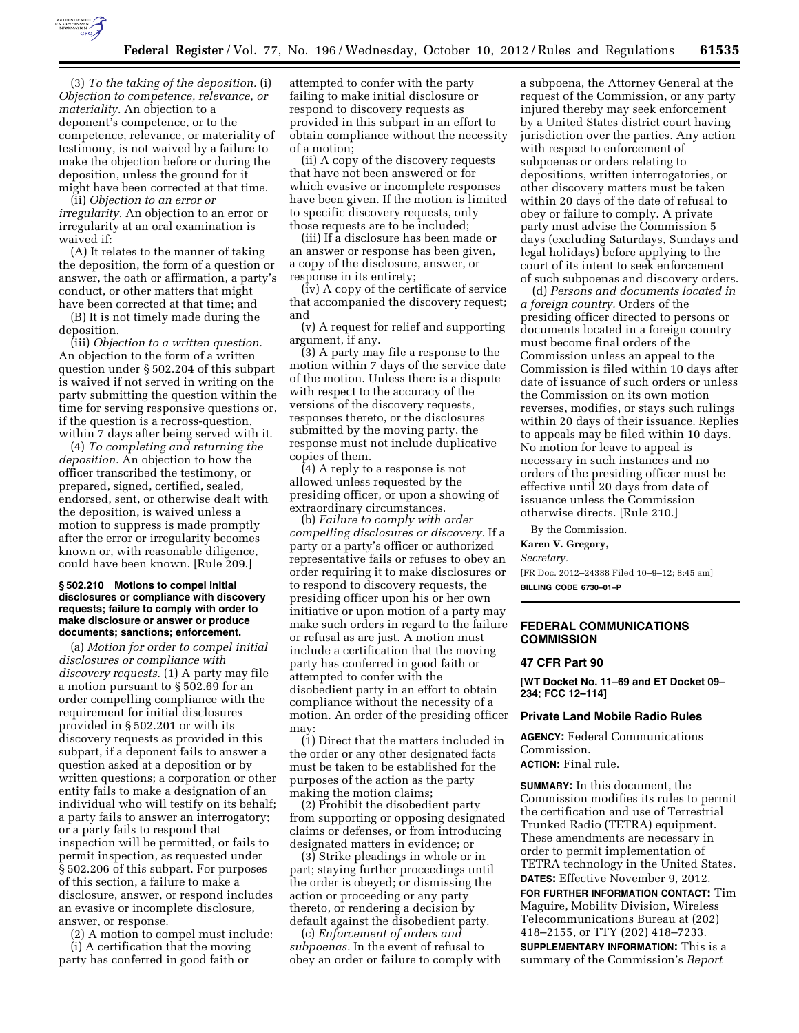

(3) *To the taking of the deposition.* (i) *Objection to competence, relevance, or materiality.* An objection to a deponent's competence, or to the competence, relevance, or materiality of testimony, is not waived by a failure to make the objection before or during the deposition, unless the ground for it might have been corrected at that time.

(ii) *Objection to an error or irregularity.* An objection to an error or irregularity at an oral examination is waived if:

(A) It relates to the manner of taking the deposition, the form of a question or answer, the oath or affirmation, a party's conduct, or other matters that might have been corrected at that time; and

(B) It is not timely made during the deposition.

(iii) *Objection to a written question.*  An objection to the form of a written question under § 502.204 of this subpart is waived if not served in writing on the party submitting the question within the time for serving responsive questions or, if the question is a recross-question, within 7 days after being served with it.

(4) *To completing and returning the deposition.* An objection to how the officer transcribed the testimony, or prepared, signed, certified, sealed, endorsed, sent, or otherwise dealt with the deposition, is waived unless a motion to suppress is made promptly after the error or irregularity becomes known or, with reasonable diligence, could have been known. [Rule 209.]

#### **§ 502.210 Motions to compel initial disclosures or compliance with discovery requests; failure to comply with order to make disclosure or answer or produce documents; sanctions; enforcement.**

(a) *Motion for order to compel initial disclosures or compliance with discovery requests.* (1) A party may file a motion pursuant to § 502.69 for an order compelling compliance with the requirement for initial disclosures provided in § 502.201 or with its discovery requests as provided in this subpart, if a deponent fails to answer a question asked at a deposition or by written questions; a corporation or other entity fails to make a designation of an individual who will testify on its behalf; a party fails to answer an interrogatory; or a party fails to respond that inspection will be permitted, or fails to permit inspection, as requested under § 502.206 of this subpart. For purposes of this section, a failure to make a disclosure, answer, or respond includes an evasive or incomplete disclosure, answer, or response.

(2) A motion to compel must include: (i) A certification that the moving party has conferred in good faith or

attempted to confer with the party failing to make initial disclosure or respond to discovery requests as provided in this subpart in an effort to obtain compliance without the necessity of a motion;

(ii) A copy of the discovery requests that have not been answered or for which evasive or incomplete responses have been given. If the motion is limited to specific discovery requests, only those requests are to be included;

(iii) If a disclosure has been made or an answer or response has been given, a copy of the disclosure, answer, or response in its entirety;

(iv) A copy of the certificate of service that accompanied the discovery request; and

(v) A request for relief and supporting argument, if any.

(3) A party may file a response to the motion within 7 days of the service date of the motion. Unless there is a dispute with respect to the accuracy of the versions of the discovery requests, responses thereto, or the disclosures submitted by the moving party, the response must not include duplicative copies of them.

(4) A reply to a response is not allowed unless requested by the presiding officer, or upon a showing of extraordinary circumstances.

(b) *Failure to comply with order compelling disclosures or discovery.* If a party or a party's officer or authorized representative fails or refuses to obey an order requiring it to make disclosures or to respond to discovery requests, the presiding officer upon his or her own initiative or upon motion of a party may make such orders in regard to the failure or refusal as are just. A motion must include a certification that the moving party has conferred in good faith or attempted to confer with the disobedient party in an effort to obtain compliance without the necessity of a motion. An order of the presiding officer may

(1) Direct that the matters included in the order or any other designated facts must be taken to be established for the purposes of the action as the party making the motion claims;

(2) Prohibit the disobedient party from supporting or opposing designated claims or defenses, or from introducing designated matters in evidence; or

(3) Strike pleadings in whole or in part; staying further proceedings until the order is obeyed; or dismissing the action or proceeding or any party thereto, or rendering a decision by default against the disobedient party.

(c) *Enforcement of orders and subpoenas.* In the event of refusal to obey an order or failure to comply with

a subpoena, the Attorney General at the request of the Commission, or any party injured thereby may seek enforcement by a United States district court having jurisdiction over the parties. Any action with respect to enforcement of subpoenas or orders relating to depositions, written interrogatories, or other discovery matters must be taken within 20 days of the date of refusal to obey or failure to comply. A private party must advise the Commission 5 days (excluding Saturdays, Sundays and legal holidays) before applying to the court of its intent to seek enforcement of such subpoenas and discovery orders.

(d) *Persons and documents located in a foreign country.* Orders of the presiding officer directed to persons or documents located in a foreign country must become final orders of the Commission unless an appeal to the Commission is filed within 10 days after date of issuance of such orders or unless the Commission on its own motion reverses, modifies, or stays such rulings within 20 days of their issuance. Replies to appeals may be filed within 10 days. No motion for leave to appeal is necessary in such instances and no orders of the presiding officer must be effective until 20 days from date of issuance unless the Commission otherwise directs. [Rule 210.]

By the Commission.

**Karen V. Gregory,** 

*Secretary.* 

[FR Doc. 2012–24388 Filed 10–9–12; 8:45 am] **BILLING CODE 6730–01–P** 

## **FEDERAL COMMUNICATIONS COMMISSION**

#### **47 CFR Part 90**

**[WT Docket No. 11–69 and ET Docket 09– 234; FCC 12–114]** 

#### **Private Land Mobile Radio Rules**

**AGENCY:** Federal Communications Commission.

**ACTION:** Final rule.

**SUMMARY:** In this document, the Commission modifies its rules to permit the certification and use of Terrestrial Trunked Radio (TETRA) equipment. These amendments are necessary in order to permit implementation of TETRA technology in the United States. **DATES:** Effective November 9, 2012. **FOR FURTHER INFORMATION CONTACT:** Tim Maguire, Mobility Division, Wireless Telecommunications Bureau at (202) 418–2155, or TTY (202) 418–7233. **SUPPLEMENTARY INFORMATION:** This is a summary of the Commission's *Report*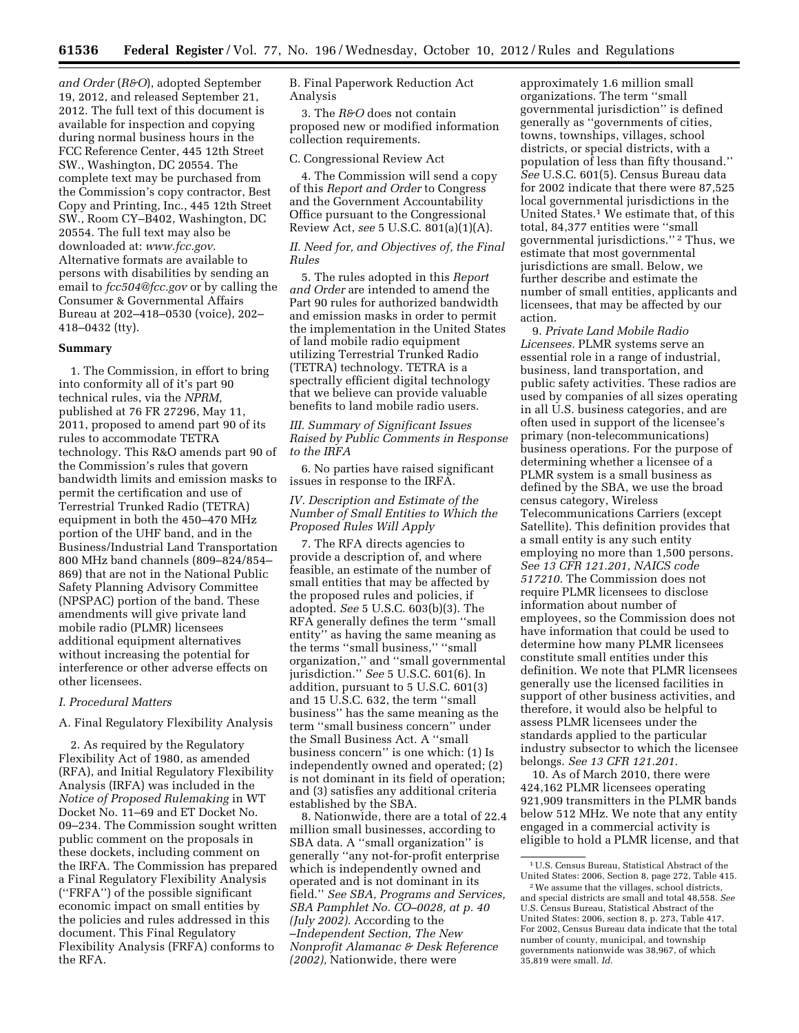*and Order* (*R&O*), adopted September 19, 2012, and released September 21, 2012. The full text of this document is available for inspection and copying during normal business hours in the FCC Reference Center, 445 12th Street SW., Washington, DC 20554. The complete text may be purchased from the Commission's copy contractor, Best Copy and Printing, Inc., 445 12th Street SW., Room CY–B402, Washington, DC 20554. The full text may also be downloaded at: *[www.fcc.gov.](http://www.fcc.gov)*  Alternative formats are available to persons with disabilities by sending an email to *[fcc504@fcc.gov](mailto:fcc504@fcc.gov)* or by calling the Consumer & Governmental Affairs Bureau at 202–418–0530 (voice), 202– 418–0432 (tty).

#### **Summary**

1. The Commission, in effort to bring into conformity all of it's part 90 technical rules, via the *NPRM,*  published at 76 FR 27296, May 11, 2011, proposed to amend part 90 of its rules to accommodate TETRA technology. This R&O amends part 90 of the Commission's rules that govern bandwidth limits and emission masks to permit the certification and use of Terrestrial Trunked Radio (TETRA) equipment in both the 450–470 MHz portion of the UHF band, and in the Business/Industrial Land Transportation 800 MHz band channels (809–824/854– 869) that are not in the National Public Safety Planning Advisory Committee (NPSPAC) portion of the band. These amendments will give private land mobile radio (PLMR) licensees additional equipment alternatives without increasing the potential for interference or other adverse effects on other licensees.

# *I. Procedural Matters*

A. Final Regulatory Flexibility Analysis

2. As required by the Regulatory Flexibility Act of 1980, as amended (RFA), and Initial Regulatory Flexibility Analysis (IRFA) was included in the *Notice of Proposed Rulemaking* in WT Docket No. 11–69 and ET Docket No. 09–234. The Commission sought written public comment on the proposals in these dockets, including comment on the IRFA. The Commission has prepared a Final Regulatory Flexibility Analysis (''FRFA'') of the possible significant economic impact on small entities by the policies and rules addressed in this document. This Final Regulatory Flexibility Analysis (FRFA) conforms to the RFA.

B. Final Paperwork Reduction Act Analysis

3. The *R&O* does not contain proposed new or modified information collection requirements.

# C. Congressional Review Act

4. The Commission will send a copy of this *Report and Order* to Congress and the Government Accountability Office pursuant to the Congressional Review Act, *see* 5 U.S.C. 801(a)(1)(A).

# *II. Need for, and Objectives of, the Final Rules*

5. The rules adopted in this *Report and Order* are intended to amend the Part 90 rules for authorized bandwidth and emission masks in order to permit the implementation in the United States of land mobile radio equipment utilizing Terrestrial Trunked Radio (TETRA) technology. TETRA is a spectrally efficient digital technology that we believe can provide valuable benefits to land mobile radio users.

*III. Summary of Significant Issues Raised by Public Comments in Response to the IRFA* 

6. No parties have raised significant issues in response to the IRFA.

## *IV. Description and Estimate of the Number of Small Entities to Which the Proposed Rules Will Apply*

7. The RFA directs agencies to provide a description of, and where feasible, an estimate of the number of small entities that may be affected by the proposed rules and policies, if adopted. *See* 5 U.S.C. 603(b)(3). The RFA generally defines the term ''small entity'' as having the same meaning as the terms ''small business,'' ''small organization,'' and ''small governmental jurisdiction.'' *See* 5 U.S.C. 601(6). In addition, pursuant to 5 U.S.C. 601(3) and 15 U.S.C. 632, the term ''small business'' has the same meaning as the term ''small business concern'' under the Small Business Act. A ''small business concern'' is one which: (1) Is independently owned and operated; (2) is not dominant in its field of operation; and (3) satisfies any additional criteria established by the SBA.

8. Nationwide, there are a total of 22.4 million small businesses, according to SBA data. A ''small organization'' is generally ''any not-for-profit enterprise which is independently owned and operated and is not dominant in its field.'' *See SBA, Programs and Services, SBA Pamphlet No. CO–0028, at p. 40 (July 2002).* According to the –*Independent Section, The New Nonprofit Alamanac & Desk Reference (2002),* Nationwide, there were

approximately 1.6 million small organizations. The term ''small governmental jurisdiction'' is defined generally as ''governments of cities, towns, townships, villages, school districts, or special districts, with a population of less than fifty thousand.'' *See* U.S.C. 601(5). Census Bureau data for 2002 indicate that there were 87,525 local governmental jurisdictions in the United States.1 We estimate that, of this total, 84,377 entities were ''small governmental jurisdictions.'' 2 Thus, we estimate that most governmental jurisdictions are small. Below, we further describe and estimate the number of small entities, applicants and licensees, that may be affected by our action.

9. *Private Land Mobile Radio Licensees.* PLMR systems serve an essential role in a range of industrial, business, land transportation, and public safety activities. These radios are used by companies of all sizes operating in all U.S. business categories, and are often used in support of the licensee's primary (non-telecommunications) business operations. For the purpose of determining whether a licensee of a PLMR system is a small business as defined by the SBA, we use the broad census category, Wireless Telecommunications Carriers (except Satellite). This definition provides that a small entity is any such entity employing no more than 1,500 persons. *See 13 CFR 121.201, NAICS code 517210.* The Commission does not require PLMR licensees to disclose information about number of employees, so the Commission does not have information that could be used to determine how many PLMR licensees constitute small entities under this definition. We note that PLMR licensees generally use the licensed facilities in support of other business activities, and therefore, it would also be helpful to assess PLMR licensees under the standards applied to the particular industry subsector to which the licensee belongs. *See 13 CFR 121.201.* 

10. As of March 2010, there were 424,162 PLMR licensees operating 921,909 transmitters in the PLMR bands below 512 MHz. We note that any entity engaged in a commercial activity is eligible to hold a PLMR license, and that

<sup>1</sup>U.S. Census Bureau, Statistical Abstract of the United States: 2006, Section 8, page 272, Table 415.

<sup>2</sup>We assume that the villages, school districts, and special districts are small and total 48,558. *See*  U.S. Census Bureau, Statistical Abstract of the United States: 2006, section 8, p. 273, Table 417. For 2002, Census Bureau data indicate that the total number of county, municipal, and township governments nationwide was 38,967, of which 35,819 were small. *Id.*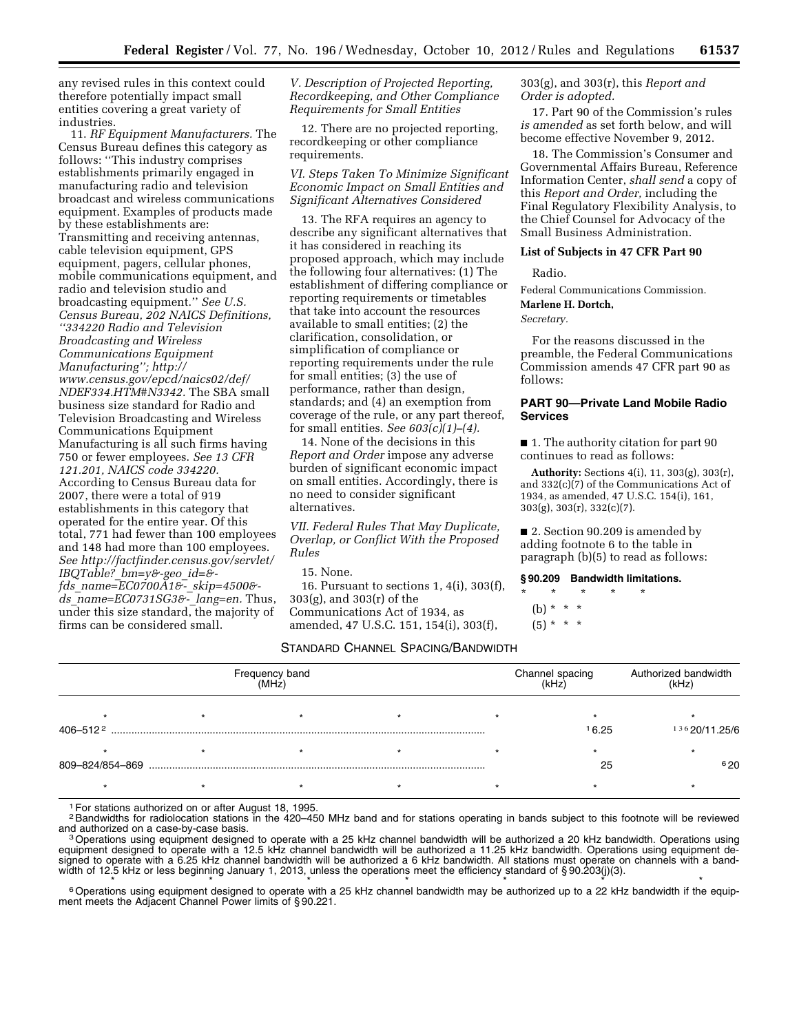any revised rules in this context could therefore potentially impact small entities covering a great variety of industries.

11. *RF Equipment Manufacturers.* The Census Bureau defines this category as follows: ''This industry comprises establishments primarily engaged in manufacturing radio and television broadcast and wireless communications equipment. Examples of products made by these establishments are: Transmitting and receiving antennas, cable television equipment, GPS equipment, pagers, cellular phones, mobile communications equipment, and radio and television studio and broadcasting equipment.'' *See U.S. Census Bureau, 202 NAICS Definitions, ''334220 Radio and Television Broadcasting and Wireless Communications Equipment Manufacturing''; [http://](http://www.census.gov/epcd/naics02/def/NDEF334.HTM#N3342)  [www.census.gov/epcd/naics02/def/](http://www.census.gov/epcd/naics02/def/NDEF334.HTM#N3342)  [NDEF334.HTM#N3342.](http://www.census.gov/epcd/naics02/def/NDEF334.HTM#N3342)* The SBA small business size standard for Radio and Television Broadcasting and Wireless Communications Equipment Manufacturing is all such firms having 750 or fewer employees. *See 13 CFR 121.201, NAICS code 334220.*  According to Census Bureau data for 2007, there were a total of 919 establishments in this category that operated for the entire year. Of this total, 771 had fewer than 100 employees and 148 had more than 100 employees. *See [http://factfinder.census.gov/servlet/](http://factfinder.census.gov/servlet/IBQTable?_bm=y&-geo_id=&-fds_name=EC0700A1&-_skip=4500&-ds_name=EC0731SG3&-_lang=en)  IBQTable?*\_*[bm=y&-geo](http://factfinder.census.gov/servlet/IBQTable?_bm=y&-geo_id=&-fds_name=EC0700A1&-_skip=4500&-ds_name=EC0731SG3&-_lang=en)*\_*id=& fds*\_*[name=EC0700A1&-](http://factfinder.census.gov/servlet/IBQTable?_bm=y&-geo_id=&-fds_name=EC0700A1&-_skip=4500&-ds_name=EC0731SG3&-_lang=en)*\_*skip=4500& ds*\_*[name=EC0731SG3&-](http://factfinder.census.gov/servlet/IBQTable?_bm=y&-geo_id=&-fds_name=EC0700A1&-_skip=4500&-ds_name=EC0731SG3&-_lang=en)*\_*lang=en.* Thus, under this size standard, the majority of firms can be considered small.

*V. Description of Projected Reporting, Recordkeeping, and Other Compliance Requirements for Small Entities* 

12. There are no projected reporting, recordkeeping or other compliance requirements.

*VI. Steps Taken To Minimize Significant Economic Impact on Small Entities and Significant Alternatives Considered* 

13. The RFA requires an agency to describe any significant alternatives that it has considered in reaching its proposed approach, which may include the following four alternatives: (1) The establishment of differing compliance or reporting requirements or timetables that take into account the resources available to small entities; (2) the clarification, consolidation, or simplification of compliance or reporting requirements under the rule for small entities; (3) the use of performance, rather than design, standards; and (4) an exemption from coverage of the rule, or any part thereof, for small entities. *See 603(c)(1)–(4).* 

14. None of the decisions in this *Report and Order* impose any adverse burden of significant economic impact on small entities. Accordingly, there is no need to consider significant alternatives.

*VII. Federal Rules That May Duplicate, Overlap, or Conflict With the Proposed Rules* 

15. None.

16. Pursuant to sections 1, 4(i), 303(f), 303(g), and 303(r) of the Communications Act of 1934, as amended, 47 U.S.C. 151, 154(i), 303(f),

## STANDARD CHANNEL SPACING/BANDWIDTH

| Frequency band<br>(MHz) |  |  |  | Channel spacing<br>(kHz) | Authorized bandwidth<br>(kHz) |  |
|-------------------------|--|--|--|--------------------------|-------------------------------|--|
|                         |  |  |  |                          |                               |  |
| 406-5122                |  |  |  | 16.25                    | 13620/11.25/6                 |  |
|                         |  |  |  |                          |                               |  |
| 809-824/854-869         |  |  |  | 25                       | 620                           |  |
|                         |  |  |  |                          |                               |  |

1For stations authorized on or after August 18, 1995.

<sup>2</sup>Bandwidths for radiolocation stations in the 420–450 MHz band and for stations operating in bands subject to this footnote will be reviewed<br>and authorized on a case-by-case basis. and authorized on a case-by-case basis.<br>3Operations using equipment designed to operate with a 25 kHz channel bandwidth will be authorized a 20 kHz bandwidth. Operations using

equipment designed to operate with a 12.5 kHz channel bandwidth will be authorized a 11.25 kHz bandwidth. Operations using equipment designed to operate with a 6.25 kHz channel bandwidth will be authorized a 6 kHz bandwidth. All stations must operate on channels with a bandwidth of 12.5 kHz or less beginning January 1, 2013, unless the operations meet the efficiency standard of § 90.203(j)(3).

 $6$  Operations using equipment designed to operate with a 25 kHz channel bandwidth may be authorized up to a 22 kHz bandwidth if the equipment meets the Adjacent Channel Power limits of § 90.221.

303(g), and 303(r), this *Report and Order is adopted.* 

17. Part 90 of the Commission's rules *is amended* as set forth below, and will become effective November 9, 2012.

18. The Commission's Consumer and Governmental Affairs Bureau, Reference Information Center, *shall send* a copy of this *Report and Order,* including the Final Regulatory Flexibility Analysis, to the Chief Counsel for Advocacy of the Small Business Administration.

## **List of Subjects in 47 CFR Part 90**

Radio.

Federal Communications Commission.

# **Marlene H. Dortch,**

*Secretary.* 

For the reasons discussed in the preamble, the Federal Communications Commission amends 47 CFR part 90 as follows:

# **PART 90—Private Land Mobile Radio Services**

■ 1. The authority citation for part 90 continues to read as follows:

**Authority:** Sections 4(i), 11, 303(g), 303(r), and 332(c)(7) of the Communications Act of 1934, as amended, 47 U.S.C. 154(i), 161, 303(g), 303(r), 332(c)(7).

■ 2. Section 90.209 is amended by adding footnote 6 to the table in paragraph (b)(5) to read as follows:

#### **§ 90.209 Bandwidth limitations.**

# \* \* \* \* \*

(b) \* \* \*

 $(5) * * * *$